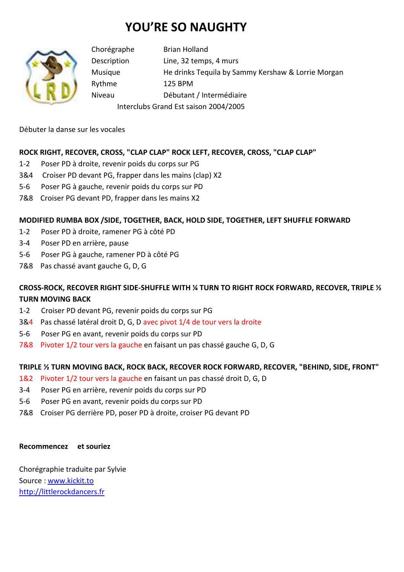# **YOU'RE SO NAUGHTY**



Chorégraphe Brian Holland Description Line, 32 temps, 4 murs Musique He drinks Tequila by Sammy Kershaw & Lorrie Morgan Rythme 125 BPM Niveau Débutant / Intermédiaire Interclubs Grand Est saison 2004/2005

Débuter la danse sur les vocales

## **ROCK RIGHT, RECOVER, CROSS, "CLAP CLAP" ROCK LEFT, RECOVER, CROSS, "CLAP CLAP"**

- 1-2 Poser PD à droite, revenir poids du corps sur PG
- 3&4 Croiser PD devant PG, frapper dans les mains (clap) X2
- 5-6 Poser PG à gauche, revenir poids du corps sur PD
- 7&8 Croiser PG devant PD, frapper dans les mains X2

### **MODIFIED RUMBA BOX /SIDE, TOGETHER, BACK, HOLD SIDE, TOGETHER, LEFT SHUFFLE FORWARD**

- 1-2 Poser PD à droite, ramener PG à côté PD
- 3-4 Poser PD en arrière, pause
- 5-6 Poser PG à gauche, ramener PD à côté PG
- 7&8 Pas chassé avant gauche G, D, G

# **CROSS-ROCK, RECOVER RIGHT SIDE-SHUFFLE WITH ¼ TURN TO RIGHT ROCK FORWARD, RECOVER, TRIPLE ½ TURN MOVING BACK**

- 1-2 Croiser PD devant PG, revenir poids du corps sur PG
- 3&4 Pas chassé latéral droit D, G, D avec pivot 1/4 de tour vers la droite
- 5-6 Poser PG en avant, revenir poids du corps sur PD
- 7&8 Pivoter 1/2 tour vers la gauche en faisant un pas chassé gauche G, D, G

### **TRIPLE ½ TURN MOVING BACK, ROCK BACK, RECOVER ROCK FORWARD, RECOVER, "BEHIND, SIDE, FRONT"**

- 1&2 Pivoter 1/2 tour vers la gauche en faisant un pas chassé droit D, G, D
- 3-4 Poser PG en arrière, revenir poids du corps sur PD
- 5-6 Poser PG en avant, revenir poids du corps sur PD
- 7&8 Croiser PG derrière PD, poser PD à droite, croiser PG devant PD

#### **Recommencez et souriez**

Chorégraphie traduite par Sylvie Source : www.kickit.to http://littlerockdancers.fr